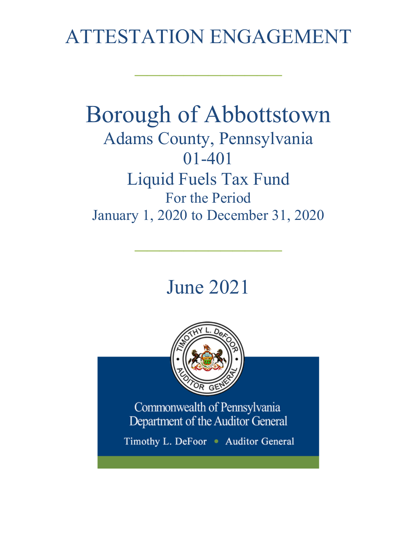# ATTESTATION ENGAGEMENT

 $\frac{1}{2}$ 

Borough of Abbottstown Adams County, Pennsylvania 01-401 Liquid Fuels Tax Fund For the Period January 1, 2020 to December 31, 2020

June 2021

 $\frac{1}{2}$ 



Commonwealth of Pennsylvania Department of the Auditor General

Timothy L. DeFoor . Auditor General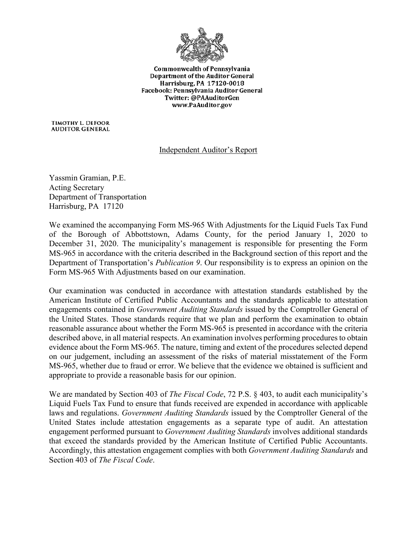

**Commonwealth of Pennsylvania** Department of the Auditor General Harrisburg, PA 17120-0018 Facebook: Pennsylvania Auditor General Twitter: @PAAuditorGen www.PaAuditor.gov

TIMOTHY L. DEFOOR **AUDITOR GENERAL** 

# Independent Auditor's Report

Yassmin Gramian, P.E. Acting Secretary Department of Transportation Harrisburg, PA 17120

We examined the accompanying Form MS-965 With Adjustments for the Liquid Fuels Tax Fund of the Borough of Abbottstown, Adams County, for the period January 1, 2020 to December 31, 2020. The municipality's management is responsible for presenting the Form MS-965 in accordance with the criteria described in the Background section of this report and the Department of Transportation's *Publication 9*. Our responsibility is to express an opinion on the Form MS-965 With Adjustments based on our examination.

Our examination was conducted in accordance with attestation standards established by the American Institute of Certified Public Accountants and the standards applicable to attestation engagements contained in *Government Auditing Standards* issued by the Comptroller General of the United States. Those standards require that we plan and perform the examination to obtain reasonable assurance about whether the Form MS-965 is presented in accordance with the criteria described above, in all material respects. An examination involves performing procedures to obtain evidence about the Form MS-965. The nature, timing and extent of the procedures selected depend on our judgement, including an assessment of the risks of material misstatement of the Form MS-965, whether due to fraud or error. We believe that the evidence we obtained is sufficient and appropriate to provide a reasonable basis for our opinion.

We are mandated by Section 403 of *The Fiscal Code*, 72 P.S. § 403, to audit each municipality's Liquid Fuels Tax Fund to ensure that funds received are expended in accordance with applicable laws and regulations. *Government Auditing Standards* issued by the Comptroller General of the United States include attestation engagements as a separate type of audit. An attestation engagement performed pursuant to *Government Auditing Standards* involves additional standards that exceed the standards provided by the American Institute of Certified Public Accountants. Accordingly, this attestation engagement complies with both *Government Auditing Standards* and Section 403 of *The Fiscal Code*.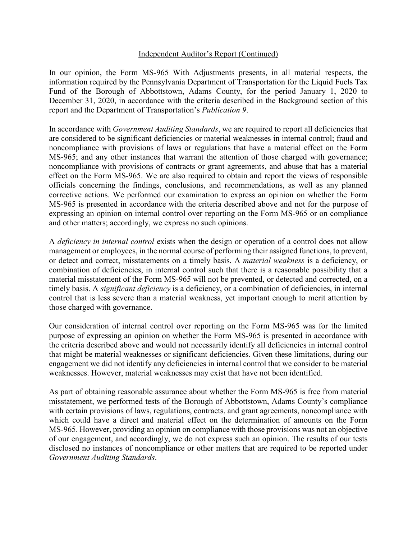#### Independent Auditor's Report (Continued)

In our opinion, the Form MS-965 With Adjustments presents, in all material respects, the information required by the Pennsylvania Department of Transportation for the Liquid Fuels Tax Fund of the Borough of Abbottstown, Adams County, for the period January 1, 2020 to December 31, 2020, in accordance with the criteria described in the Background section of this report and the Department of Transportation's *Publication 9*.

In accordance with *Government Auditing Standards*, we are required to report all deficiencies that are considered to be significant deficiencies or material weaknesses in internal control; fraud and noncompliance with provisions of laws or regulations that have a material effect on the Form MS-965; and any other instances that warrant the attention of those charged with governance; noncompliance with provisions of contracts or grant agreements, and abuse that has a material effect on the Form MS-965. We are also required to obtain and report the views of responsible officials concerning the findings, conclusions, and recommendations, as well as any planned corrective actions. We performed our examination to express an opinion on whether the Form MS-965 is presented in accordance with the criteria described above and not for the purpose of expressing an opinion on internal control over reporting on the Form MS-965 or on compliance and other matters; accordingly, we express no such opinions.

A *deficiency in internal control* exists when the design or operation of a control does not allow management or employees, in the normal course of performing their assigned functions, to prevent, or detect and correct, misstatements on a timely basis. A *material weakness* is a deficiency, or combination of deficiencies, in internal control such that there is a reasonable possibility that a material misstatement of the Form MS-965 will not be prevented, or detected and corrected, on a timely basis. A *significant deficiency* is a deficiency, or a combination of deficiencies, in internal control that is less severe than a material weakness, yet important enough to merit attention by those charged with governance.

Our consideration of internal control over reporting on the Form MS-965 was for the limited purpose of expressing an opinion on whether the Form MS-965 is presented in accordance with the criteria described above and would not necessarily identify all deficiencies in internal control that might be material weaknesses or significant deficiencies. Given these limitations, during our engagement we did not identify any deficiencies in internal control that we consider to be material weaknesses. However, material weaknesses may exist that have not been identified.

As part of obtaining reasonable assurance about whether the Form MS-965 is free from material misstatement, we performed tests of the Borough of Abbottstown, Adams County's compliance with certain provisions of laws, regulations, contracts, and grant agreements, noncompliance with which could have a direct and material effect on the determination of amounts on the Form MS-965. However, providing an opinion on compliance with those provisions was not an objective of our engagement, and accordingly, we do not express such an opinion. The results of our tests disclosed no instances of noncompliance or other matters that are required to be reported under *Government Auditing Standards*.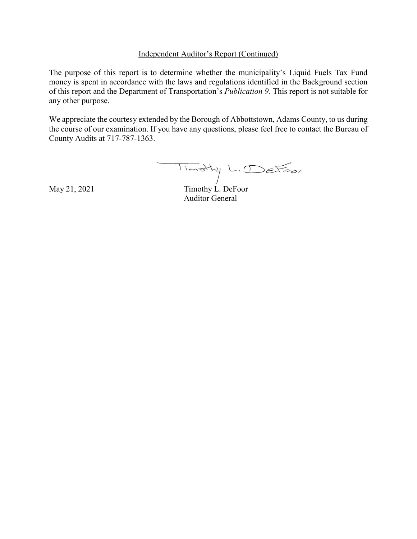#### Independent Auditor's Report (Continued)

The purpose of this report is to determine whether the municipality's Liquid Fuels Tax Fund money is spent in accordance with the laws and regulations identified in the Background section of this report and the Department of Transportation's *Publication 9*. This report is not suitable for any other purpose.

We appreciate the courtesy extended by the Borough of Abbottstown, Adams County, to us during the course of our examination. If you have any questions, please feel free to contact the Bureau of County Audits at 717-787-1363.

Timothy L. DeFoor

May 21, 2021 Timothy L. DeFoor Auditor General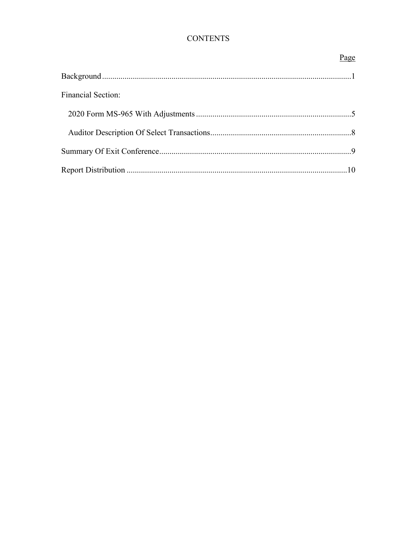# **CONTENTS**

|                           | Page |
|---------------------------|------|
|                           |      |
| <b>Financial Section:</b> |      |
|                           |      |
|                           |      |
|                           |      |
|                           |      |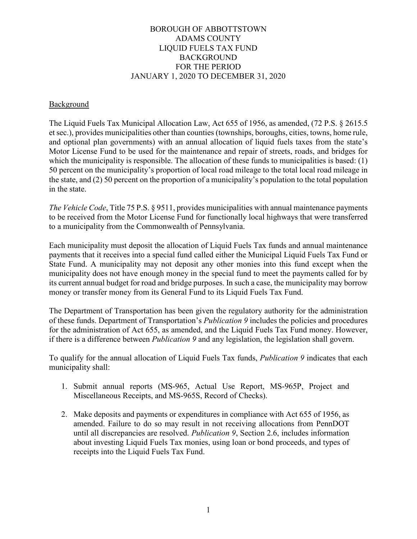#### **Background**

The Liquid Fuels Tax Municipal Allocation Law, Act 655 of 1956, as amended, (72 P.S. § 2615.5 et sec.), provides municipalities other than counties (townships, boroughs, cities, towns, home rule, and optional plan governments) with an annual allocation of liquid fuels taxes from the state's Motor License Fund to be used for the maintenance and repair of streets, roads, and bridges for which the municipality is responsible. The allocation of these funds to municipalities is based: (1) 50 percent on the municipality's proportion of local road mileage to the total local road mileage in the state, and (2) 50 percent on the proportion of a municipality's population to the total population in the state.

*The Vehicle Code*, Title 75 P.S. § 9511, provides municipalities with annual maintenance payments to be received from the Motor License Fund for functionally local highways that were transferred to a municipality from the Commonwealth of Pennsylvania.

Each municipality must deposit the allocation of Liquid Fuels Tax funds and annual maintenance payments that it receives into a special fund called either the Municipal Liquid Fuels Tax Fund or State Fund. A municipality may not deposit any other monies into this fund except when the municipality does not have enough money in the special fund to meet the payments called for by its current annual budget for road and bridge purposes. In such a case, the municipality may borrow money or transfer money from its General Fund to its Liquid Fuels Tax Fund.

The Department of Transportation has been given the regulatory authority for the administration of these funds. Department of Transportation's *Publication 9* includes the policies and procedures for the administration of Act 655, as amended, and the Liquid Fuels Tax Fund money. However, if there is a difference between *Publication 9* and any legislation, the legislation shall govern.

To qualify for the annual allocation of Liquid Fuels Tax funds, *Publication 9* indicates that each municipality shall:

- 1. Submit annual reports (MS-965, Actual Use Report, MS-965P, Project and Miscellaneous Receipts, and MS-965S, Record of Checks).
- 2. Make deposits and payments or expenditures in compliance with Act 655 of 1956, as amended. Failure to do so may result in not receiving allocations from PennDOT until all discrepancies are resolved. *Publication 9*, Section 2.6, includes information about investing Liquid Fuels Tax monies, using loan or bond proceeds, and types of receipts into the Liquid Fuels Tax Fund.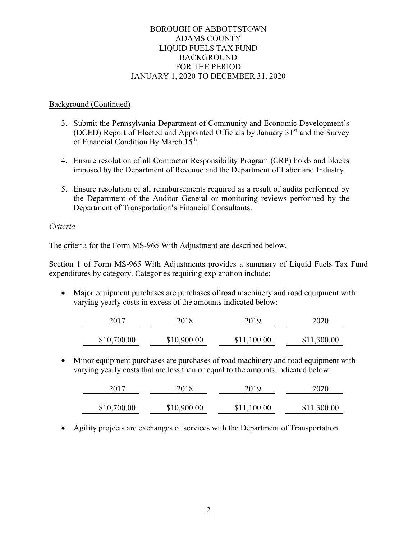# Background (Continued)

- 3. Submit the Pennsylvania Department of Community and Economic Development's (DCED) Report of Elected and Appointed Officials by January  $31<sup>st</sup>$  and the Survey of Financial Condition By March 15th.
- 4. Ensure resolution of all Contractor Responsibility Program (CRP) holds and blocks imposed by the Department of Revenue and the Department of Labor and Industry.
- 5. Ensure resolution of all reimbursements required as a result of audits performed by the Department of the Auditor General or monitoring reviews performed by the Department of Transportation's Financial Consultants.

# *Criteria*

The criteria for the Form MS-965 With Adjustment are described below.

Section 1 of Form MS-965 With Adjustments provides a summary of Liquid Fuels Tax Fund expenditures by category. Categories requiring explanation include:

• Major equipment purchases are purchases of road machinery and road equipment with varying yearly costs in excess of the amounts indicated below:

| 2017        | 2018        | 2019        | 2020        |
|-------------|-------------|-------------|-------------|
| \$10,700.00 | \$10,900.00 | \$11,100.00 | \$11,300.00 |

• Minor equipment purchases are purchases of road machinery and road equipment with varying yearly costs that are less than or equal to the amounts indicated below:

| 2017        | 2018        | 2019        | 2020        |
|-------------|-------------|-------------|-------------|
| \$10,700.00 | \$10,900.00 | \$11,100.00 | \$11,300.00 |

• Agility projects are exchanges of services with the Department of Transportation.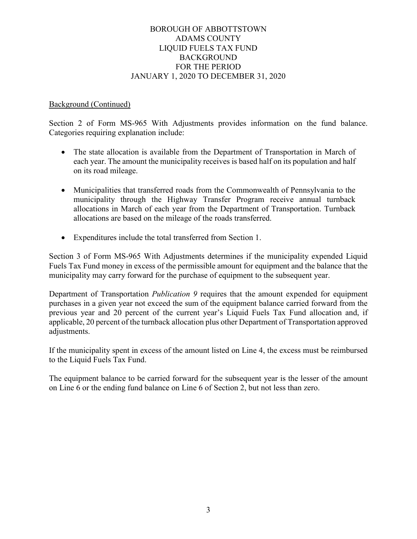#### Background (Continued)

Section 2 of Form MS-965 With Adjustments provides information on the fund balance. Categories requiring explanation include:

- The state allocation is available from the Department of Transportation in March of each year. The amount the municipality receives is based half on its population and half on its road mileage.
- Municipalities that transferred roads from the Commonwealth of Pennsylvania to the municipality through the Highway Transfer Program receive annual turnback allocations in March of each year from the Department of Transportation. Turnback allocations are based on the mileage of the roads transferred.
- Expenditures include the total transferred from Section 1.

Section 3 of Form MS-965 With Adjustments determines if the municipality expended Liquid Fuels Tax Fund money in excess of the permissible amount for equipment and the balance that the municipality may carry forward for the purchase of equipment to the subsequent year.

Department of Transportation *Publication 9* requires that the amount expended for equipment purchases in a given year not exceed the sum of the equipment balance carried forward from the previous year and 20 percent of the current year's Liquid Fuels Tax Fund allocation and, if applicable, 20 percent of the turnback allocation plus other Department of Transportation approved adjustments.

If the municipality spent in excess of the amount listed on Line 4, the excess must be reimbursed to the Liquid Fuels Tax Fund.

The equipment balance to be carried forward for the subsequent year is the lesser of the amount on Line 6 or the ending fund balance on Line 6 of Section 2, but not less than zero.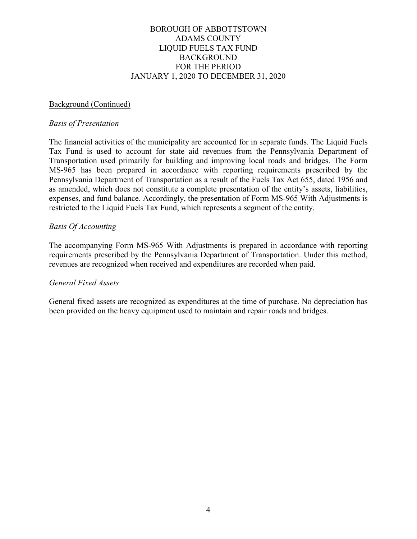#### Background (Continued)

#### *Basis of Presentation*

The financial activities of the municipality are accounted for in separate funds. The Liquid Fuels Tax Fund is used to account for state aid revenues from the Pennsylvania Department of Transportation used primarily for building and improving local roads and bridges. The Form MS-965 has been prepared in accordance with reporting requirements prescribed by the Pennsylvania Department of Transportation as a result of the Fuels Tax Act 655, dated 1956 and as amended, which does not constitute a complete presentation of the entity's assets, liabilities, expenses, and fund balance. Accordingly, the presentation of Form MS-965 With Adjustments is restricted to the Liquid Fuels Tax Fund, which represents a segment of the entity.

#### *Basis Of Accounting*

The accompanying Form MS-965 With Adjustments is prepared in accordance with reporting requirements prescribed by the Pennsylvania Department of Transportation. Under this method, revenues are recognized when received and expenditures are recorded when paid.

#### *General Fixed Assets*

General fixed assets are recognized as expenditures at the time of purchase. No depreciation has been provided on the heavy equipment used to maintain and repair roads and bridges.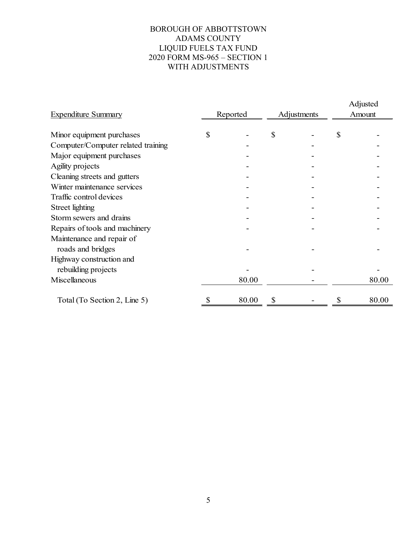# BOROUGH OF ABBOTTSTOWN ADAMS COUNTY LIQUID FUELS TAX FUND 2020 FORM MS-965 – SECTION 1 WITH ADJUSTMENTS

| <b>Expenditure Summary</b>         | Reported | Adjustments | Adjusted<br>Amount |
|------------------------------------|----------|-------------|--------------------|
| Minor equipment purchases          | \$       | \$          | \$                 |
| Computer/Computer related training |          |             |                    |
| Major equipment purchases          |          |             |                    |
| Agility projects                   |          |             |                    |
| Cleaning streets and gutters       |          |             |                    |
| Winter maintenance services        |          |             |                    |
| Traffic control devices            |          |             |                    |
| Street lighting                    |          |             |                    |
| Storm sewers and drains            |          |             |                    |
| Repairs of tools and machinery     |          |             |                    |
| Maintenance and repair of          |          |             |                    |
| roads and bridges                  |          |             |                    |
| Highway construction and           |          |             |                    |
| rebuilding projects                |          |             |                    |
| Miscellaneous                      | 80.00    |             | 80.00              |
| Total (To Section 2, Line 5)       | 80.00    |             | 80.00              |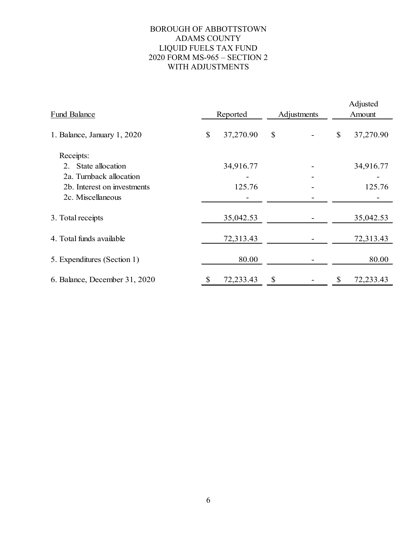# BOROUGH OF ABBOTTSTOWN ADAMS COUNTY LIQUID FUELS TAX FUND 2020 FORM MS-965 – SECTION 2 WITH ADJUSTMENTS

| Fund Balance                  |    | Reported  | Adjustments |  | Adjusted<br>Amount |           |
|-------------------------------|----|-----------|-------------|--|--------------------|-----------|
|                               |    |           |             |  |                    |           |
| 1. Balance, January 1, 2020   | \$ | 37,270.90 | \$          |  | \$                 | 37,270.90 |
| Receipts:                     |    |           |             |  |                    |           |
| 2. State allocation           |    | 34,916.77 |             |  |                    | 34,916.77 |
| 2a. Turnback allocation       |    |           |             |  |                    |           |
| 2b. Interest on investments   |    | 125.76    |             |  |                    | 125.76    |
| 2c. Miscellaneous             |    |           |             |  |                    |           |
|                               |    |           |             |  |                    |           |
| 3. Total receipts             |    | 35,042.53 |             |  |                    | 35,042.53 |
| 4. Total funds available      |    | 72,313.43 |             |  |                    | 72,313.43 |
| 5. Expenditures (Section 1)   |    | 80.00     |             |  |                    | 80.00     |
| 6. Balance, December 31, 2020 | \$ | 72,233.43 | \$          |  | \$                 | 72,233.43 |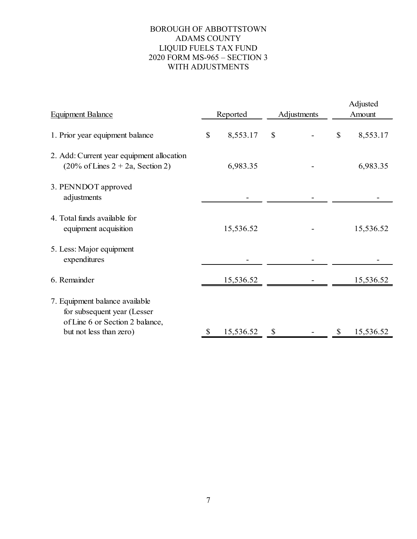# BOROUGH OF ABBOTTSTOWN ADAMS COUNTY LIQUID FUELS TAX FUND 2020 FORM MS-965 – SECTION 3 WITH ADJUSTMENTS

| <b>Equipment Balance</b>                                                                                                    | Reported |           | Adjustments |  | Adjusted<br>Amount |           |
|-----------------------------------------------------------------------------------------------------------------------------|----------|-----------|-------------|--|--------------------|-----------|
| 1. Prior year equipment balance                                                                                             | \$       | 8,553.17  | \$          |  | \$                 | 8,553.17  |
| 2. Add: Current year equipment allocation<br>$(20\% \text{ of Lines } 2 + 2a, \text{Section } 2)$                           |          | 6,983.35  |             |  |                    | 6,983.35  |
| 3. PENNDOT approved<br>adjustments                                                                                          |          |           |             |  |                    |           |
| 4. Total funds available for<br>equipment acquisition                                                                       |          | 15,536.52 |             |  |                    | 15,536.52 |
| 5. Less: Major equipment<br>expenditures                                                                                    |          |           |             |  |                    |           |
| 6. Remainder                                                                                                                |          | 15,536.52 |             |  |                    | 15,536.52 |
| 7. Equipment balance available<br>for subsequent year (Lesser<br>of Line 6 or Section 2 balance,<br>but not less than zero) | \$       | 15,536.52 | \$          |  | S                  | 15,536.52 |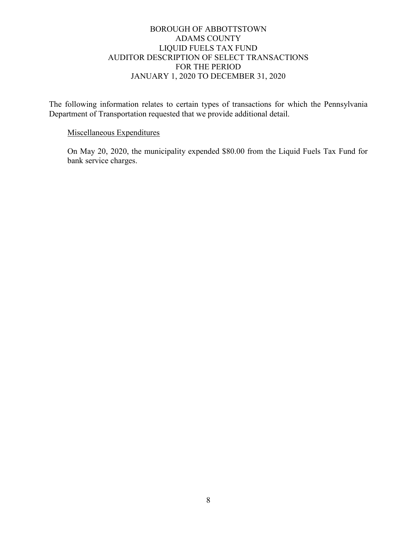# BOROUGH OF ABBOTTSTOWN ADAMS COUNTY LIQUID FUELS TAX FUND AUDITOR DESCRIPTION OF SELECT TRANSACTIONS FOR THE PERIOD JANUARY 1, 2020 TO DECEMBER 31, 2020

The following information relates to certain types of transactions for which the Pennsylvania Department of Transportation requested that we provide additional detail.

# Miscellaneous Expenditures

On May 20, 2020, the municipality expended \$80.00 from the Liquid Fuels Tax Fund for bank service charges.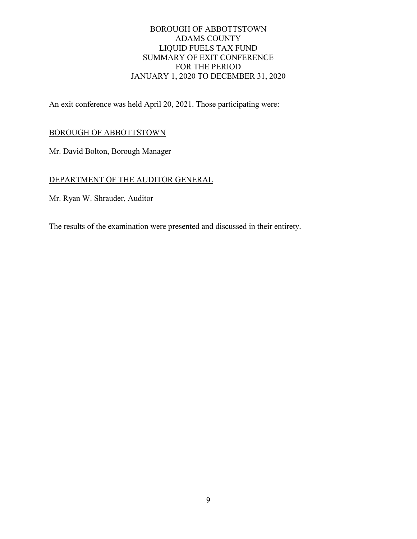# BOROUGH OF ABBOTTSTOWN ADAMS COUNTY LIQUID FUELS TAX FUND SUMMARY OF EXIT CONFERENCE FOR THE PERIOD JANUARY 1, 2020 TO DECEMBER 31, 2020

An exit conference was held April 20, 2021. Those participating were:

# BOROUGH OF ABBOTTSTOWN

Mr. David Bolton, Borough Manager

# DEPARTMENT OF THE AUDITOR GENERAL

Mr. Ryan W. Shrauder, Auditor

The results of the examination were presented and discussed in their entirety.